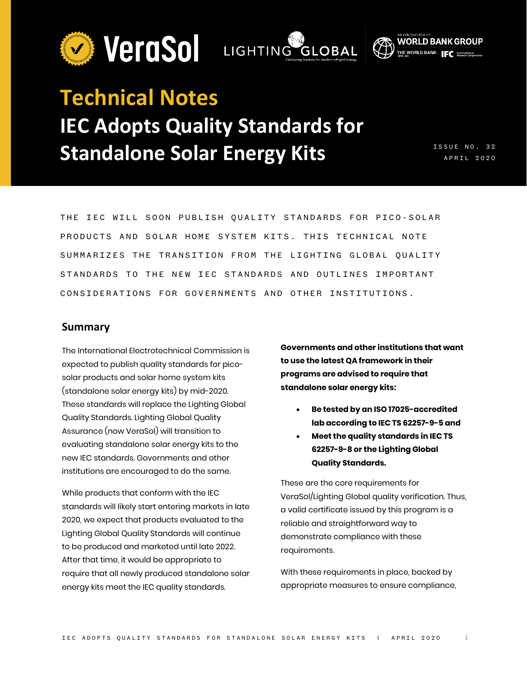



# **Technical Notes IEC Adopts Quality Standards for Standalone Solar Energy Kits**

ISSUE NO. 3 2 APRIL 2020

THE IEC WILL SOON PUBLISH QUALITY STANDARDS FOR PICO- SOLAR PRODUCTS AND SOLAR HOME SYSTEM KITS. THIS TECHNICAL NOTE SUMMARIZES THE TRANSITION FROM THE LIGHTING GLOBAL QUALITY STANDARDS TO THE NEW IEC STANDARDS AND OUTLINES IMPORTANT CONSIDERATIONS FOR GOVERNMENTS AND OTHER INSTITUTIONS .

#### **Summary**

The International Electrotechnical Commission is expected to publish quality standards for picosolar products and solar home system kits (standalone solar energy kits) by mid-2020. These standards will replace the Lighting Global Quality Standards. Lighting Global Quality Assurance (now VeraSol) will transition to evaluating standalone solar energy kits to the new IEC standards. Governments and other institutions are encouraged to do the same.

While products that conform with the IEC standards will likely start entering markets in late 2020, we expect that products evaluated to the Lighting Global Quality Standards will continue to be produced and marketed until late 2022. After that time, it would be appropriate to require that all newly produced standalone solar energy kits meet the IEC quality standards.

**Governments and other institutions that want to use the latest QA framework in their programs are advised to require that standalone solar energy kits:**

- **Be tested by an ISO 17025-accredited lab according to IEC TS 62257-9-5 and**
- **Meet the quality standards in IEC TS 62257-9-8 or the Lighting Global Quality Standards.**

These are the core requirements for VeraSol/Lighting Global quality verification. Thus, a valid certificate issued by this program is a reliable and straightforward way to demonstrate compliance with these requirements.

With these requirements in place, backed by appropriate measures to ensure compliance,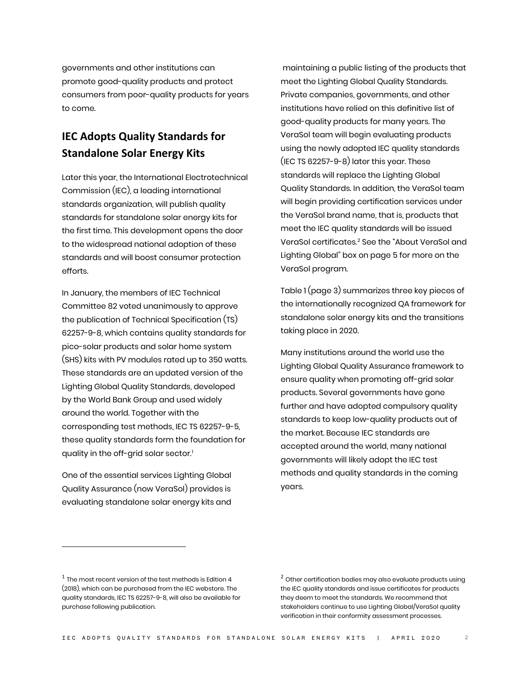governments and other institutions can promote good-quality products and protect consumers from poor-quality products for years to come.

## **IEC Adopts Quality Standards for Standalone Solar Energy Kits**

Later this year, the International Electrotechnical Commission (IEC), a leading international standards organization, will publish quality standards for standalone solar energy kits for the first time. This development opens the door to the widespread national adoption of these standards and will boost consumer protection efforts.

In January, the members of IEC Technical Committee 82 voted unanimously to approve the publication of Technical Specification (TS) 62257-9-8, which contains quality standards for pico-solar products and solar home system (SHS) kits with PV modules rated up to 350 watts. These standards are an updated version of the Lighting Global Quality Standards, developed by the World Bank Group and used widely around the world. Together with the corresponding test methods, IEC TS 62257-9-5, these quality standards form the foundation for quality in the off-grid solar sector.<sup>[1](#page-1-0)</sup>

One of the essential services Lighting Global Quality Assurance (now VeraSol) provides is evaluating standalone solar energy kits and

maintaining a public listing of the products that meet the Lighting Global Quality Standards. Private companies, governments, and other institutions have relied on this definitive list of good-quality products for many years. The VeraSol team will begin evaluating products using the newly adopted IEC quality standards (IEC TS 62257-9-8) later this year. These standards will replace the Lighting Global Quality Standards. In addition, the VeraSol team will begin providing certification services under the VeraSol brand name, that is, products that meet the IEC quality standards will be issued VeraSol certificates.[2](#page-1-0) See the "About VeraSol and Lighting Global" box on page 5 for more on the VeraSol program.

Table 1 (page 3) summarizes three key pieces of the internationally recognized QA framework for standalone solar energy kits and the transitions taking place in 2020.

Many institutions around the world use the Lighting Global Quality Assurance framework to ensure quality when promoting off-grid solar products. Several governments have gone further and have adopted compulsory quality standards to keep low-quality products out of the market. Because IEC standards are accepted around the world, many national governments will likely adopt the IEC test methods and quality standards in the coming years.

<span id="page-1-0"></span> $1$  The most recent version of the test methods is Edition 4 (2018), which can be purchased from the IEC webstore. The quality standards, IEC TS 62257-9-8, will also be available for purchase following publication.

 $2$  Other certification bodies may also evaluate products using the IEC quality standards and issue certificates for products they deem to meet the standards. We recommend that stakeholders continue to use Lighting Global/VeraSol quality verification in their conformity assessment processes.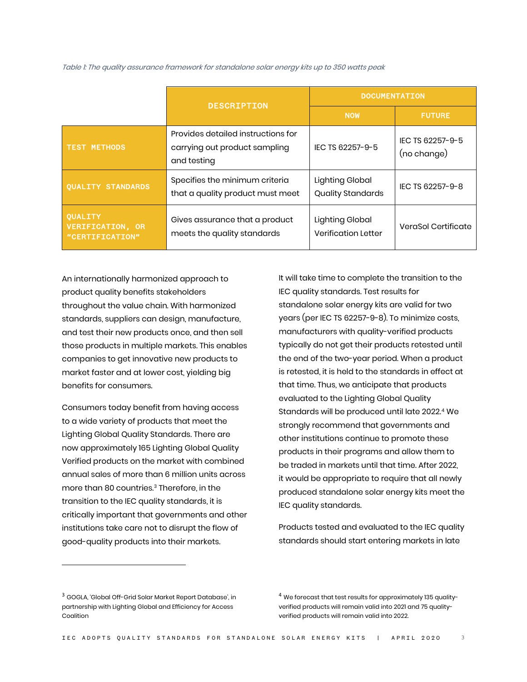|                                                              | <b>DESCRIPTION</b>                                                                 | <b>DOCUMENTATION</b>                          |                                 |
|--------------------------------------------------------------|------------------------------------------------------------------------------------|-----------------------------------------------|---------------------------------|
|                                                              |                                                                                    | <b>NOW</b>                                    | <b>FUTURE</b>                   |
| <b>TEST METHODS</b>                                          | Provides detailed instructions for<br>carrying out product sampling<br>and testing | IEC TS 62257-9-5                              | IEC TS 62257-9-5<br>(no change) |
| <b>OUALITY STANDARDS</b>                                     | Specifies the minimum criteria<br>that a quality product must meet                 | Lighting Global<br><b>Quality Standards</b>   | IEC TS 62257-9-8                |
| <b>QUALITY</b><br><b>VERIFICATION, OR</b><br>"CERTIFICATION" | Gives assurance that a product<br>meets the quality standards                      | Lighting Global<br><b>Verification Letter</b> | VeraSol Certificate             |

Table 1: The quality assurance framework for standalone solar energy kits up to 350 watts peak

An internationally harmonized approach to product quality benefits stakeholders throughout the value chain. With harmonized standards, suppliers can design, manufacture, and test their new products once, and then sell those products in multiple markets. This enables companies to get innovative new products to market faster and at lower cost, yielding big benefits for consumers.

Consumers today benefit from having access to a wide variety of products that meet the Lighting Global Quality Standards. There are now approximately 165 Lighting Global Quality Verified products on the market with combined annual sales of more than 6 million units across more than 80 countries.<sup>[3](#page-2-0)</sup> Therefore, in the transition to the IEC quality standards, it is critically important that governments and other institutions take care not to disrupt the flow of good-quality products into their markets.

It will take time to complete the transition to the IEC quality standards. Test results for standalone solar energy kits are valid for two years (per IEC TS 62257-9-8). To minimize costs, manufacturers with quality-verified products typically do not get their products retested until the end of the two-year period. When a product is retested, it is held to the standards in effect at that time. Thus, we anticipate that products evaluated to the Lighting Global Quality Standards will be produced until late 2022.<sup>[4](#page-2-0)</sup> We strongly recommend that governments and other institutions continue to promote these products in their programs and allow them to be traded in markets until that time. After 2022, it would be appropriate to require that all newly produced standalone solar energy kits meet the IEC quality standards.

Products tested and evaluated to the IEC quality standards should start entering markets in late

<span id="page-2-0"></span><sup>3</sup> GOGLA, 'Global Off-Grid Solar Market Report Database', in partnership with Lighting Global and Efficiency for Access Coalition

<sup>&</sup>lt;sup>4</sup> We forecast that test results for approximately 135 qualityverified products will remain valid into 2021 and 75 qualityverified products will remain valid into 2022.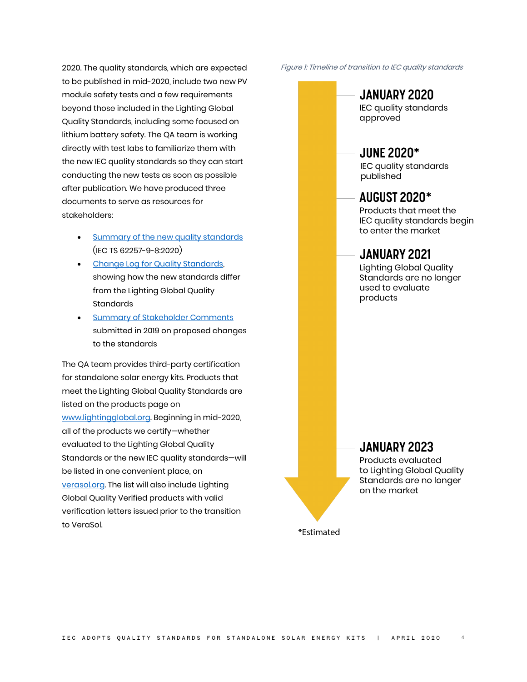2020. The quality standards, which are expected to be published in mid-2020, include two new PV module safety tests and a few requirements beyond those included in the Lighting Global Quality Standards, including some focused on lithium battery safety. The QA team is working directly with test labs to familiarize them with the new IEC quality standards so they can start conducting the new tests as soon as possible after publication. We have produced three documents to serve as resources for stakeholders:

- Summary [of the new quality standards](https://www.lightingglobal.org/resource/summary-of-requirements-in-iec-ts-62257-9-82020/) (IEC TS 62257-9-8:2020)
- [Change Log for Quality Standards,](https://www.lightingglobal.org/resource/change-log-for-quality-standards/)  showing how the new standards differ from the Lighting Global Quality **Standards**
- **[Summary of Stakeholder Comments](https://www.lightingglobal.org/resource/stakeholder-feedback-on-proposed-changes-to-the-draft-quality-standards-under-review-by-the-iec-february-2020/)** submitted in 2019 on proposed changes to the standards

The QA team provides third-party certification for standalone solar energy kits. Products that meet the Lighting Global Quality Standards are listed on the products page on [www.lightingglobal.org.](http://www.lightingglobal.org/) Beginning in mid-2020, all of the products we certify—whether evaluated to the Lighting Global Quality Standards or the new IEC quality standards—will be listed in one convenient place, on [verasol.org.](https://verasol.org/) The list will also include Lighting Global Quality Verified products with valid verification letters issued prior to the transition to VeraSol.

Figure 1: Timeline of transition to IEC quality standards

# JANUARY 2020

IEC quality standards approved

# **JUNE 2020\***

IEC quality standards published

### **AUGUST 2020\***

Products that meet the IEC quality standards begin to enter the market

### **JANUARY 2021**

**Lighting Global Quality** Standards are no longer used to evaluate products

## **JANUARY 2023**

Products evaluated to Lighting Global Quality Standards are no longer on the market

\*Estimated